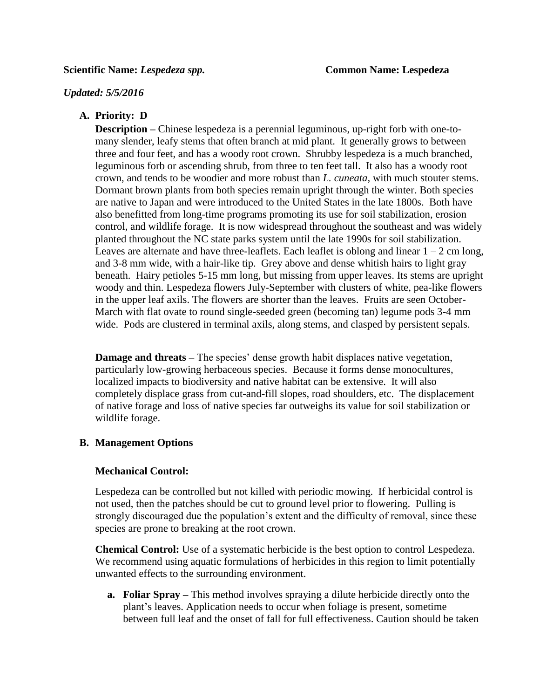#### *Updated: 5/5/2016*

# **A. Priority: D**

**Description** – Chinese lespedeza is a perennial leguminous, up-right forb with one-tomany slender, leafy stems that often branch at mid plant. It generally grows to between three and four feet, and has a woody root crown. Shrubby lespedeza is a much branched, leguminous forb or ascending shrub, from three to ten feet tall. It also has a woody root crown, and tends to be woodier and more robust than *L. cuneata,* with much stouter stems. Dormant brown plants from both species remain upright through the winter. Both species are native to Japan and were introduced to the United States in the late 1800s. Both have also benefitted from long-time programs promoting its use for soil stabilization, erosion control, and wildlife forage. It is now widespread throughout the southeast and was widely planted throughout the NC state parks system until the late 1990s for soil stabilization. Leaves are alternate and have three-leaflets. Each leaflet is oblong and linear  $1 - 2$  cm long, and 3-8 mm wide, with a hair-like tip. Grey above and dense whitish hairs to light gray beneath. Hairy petioles 5-15 mm long, but missing from upper leaves. Its stems are upright woody and thin. Lespedeza flowers July-September with clusters of white, pea-like flowers in the upper leaf axils. The flowers are shorter than the leaves. Fruits are seen October-March with flat ovate to round single-seeded green (becoming tan) legume pods 3-4 mm wide. Pods are clustered in terminal axils, along stems, and clasped by persistent sepals.

**Damage and threats** – The species' dense growth habit displaces native vegetation, particularly low-growing herbaceous species. Because it forms dense monocultures, localized impacts to biodiversity and native habitat can be extensive. It will also completely displace grass from cut-and-fill slopes, road shoulders, etc. The displacement of native forage and loss of native species far outweighs its value for soil stabilization or wildlife forage.

# **B. Management Options**

## **Mechanical Control:**

Lespedeza can be controlled but not killed with periodic mowing. If herbicidal control is not used, then the patches should be cut to ground level prior to flowering. Pulling is strongly discouraged due the population's extent and the difficulty of removal, since these species are prone to breaking at the root crown.

**Chemical Control:** Use of a systematic herbicide is the best option to control Lespedeza. We recommend using aquatic formulations of herbicides in this region to limit potentially unwanted effects to the surrounding environment.

**a. Foliar Spray –** This method involves spraying a dilute herbicide directly onto the plant's leaves. Application needs to occur when foliage is present, sometime between full leaf and the onset of fall for full effectiveness. Caution should be taken